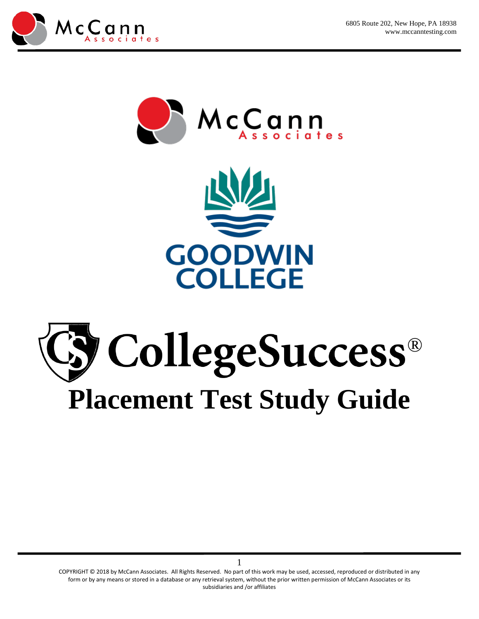





# **Placement Test Study Guide** CollegeSuccess®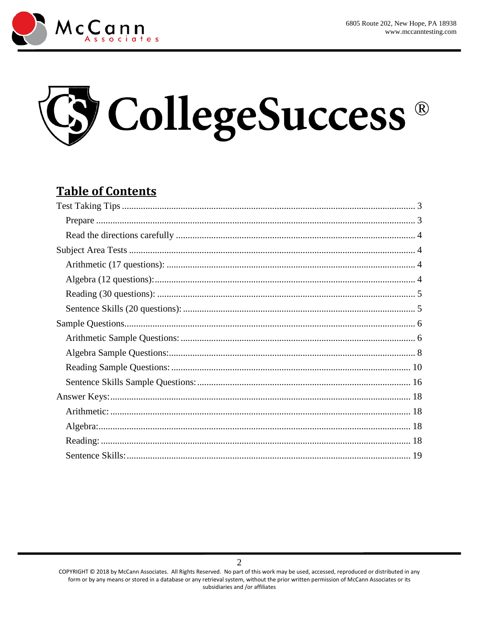

# Cy CollegeSuccess<sup>®</sup>

# **Table of Contents**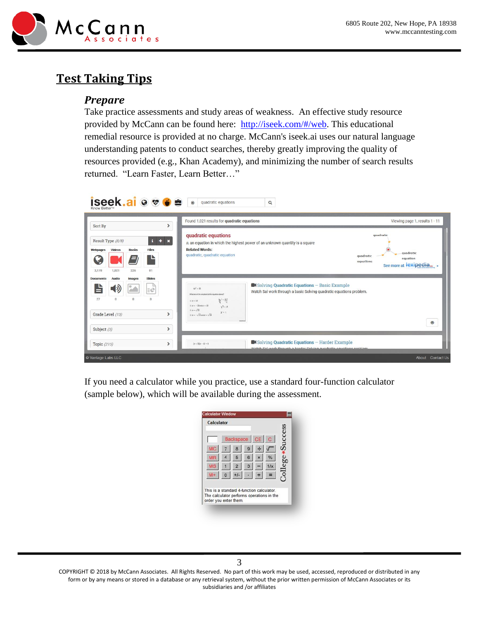

# <span id="page-2-1"></span><span id="page-2-0"></span>**Test Taking Tips**

#### *Prepare*

Take practice assessments and study areas of weakness. An effective study resource provided by McCann can be found here: [http://iseek.com/#/web.](http://iseek.com/#/web) This educational remedial resource is provided at no charge. McCann's iseek.ai uses our natural language understanding patents to conduct searches, thereby greatly improving the quality of resources provided (e.g., Khan Academy), and minimizing the number of search results returned. "Learn Faster, Learn Better…"



If you need a calculator while you practice, use a standard four-function calculator (sample below), which will be available during the assessment.

|           |                | Backspace      |   | CE          | $\mathbf{C}$ | <b>ICCCES</b> |
|-----------|----------------|----------------|---|-------------|--------------|---------------|
| <b>MC</b> |                | 8              | 9 |             |              |               |
| MR        |                | 5              | 6 | $\mathbf x$ | %            |               |
| <b>MS</b> |                | $\overline{c}$ | з |             | 1/x          |               |
| M÷        | $\overline{0}$ | $+1-$          |   |             |              |               |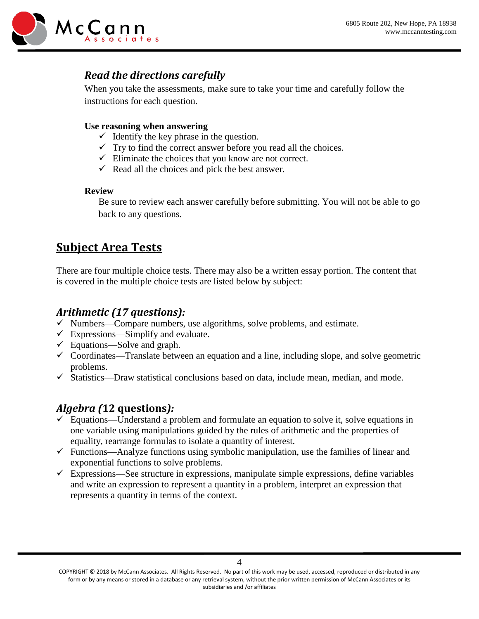

# <span id="page-3-0"></span>*Read the directions carefully*

When you take the assessments, make sure to take your time and carefully follow the instructions for each question.

#### **Use reasoning when answering**

- $\checkmark$  Identify the key phrase in the question.
- $\checkmark$  Try to find the correct answer before you read all the choices.
- $\checkmark$  Eliminate the choices that you know are not correct.
- $\checkmark$  Read all the choices and pick the best answer.

#### **Review**

Be sure to review each answer carefully before submitting. You will not be able to go back to any questions.

# <span id="page-3-1"></span>**Subject Area Tests**

There are four multiple choice tests. There may also be a written essay portion. The content that is covered in the multiple choice tests are listed below by subject:

# <span id="page-3-2"></span>*Arithmetic (17 questions):*

- $\checkmark$  Numbers—Compare numbers, use algorithms, solve problems, and estimate.
- $\checkmark$  Expressions—Simplify and evaluate.
- $\checkmark$  Equations—Solve and graph.
- $\checkmark$  Coordinates—Translate between an equation and a line, including slope, and solve geometric problems.
- $\checkmark$  Statistics—Draw statistical conclusions based on data, include mean, median, and mode.

# <span id="page-3-3"></span>*Algebra (***12 questions***):*

- $\checkmark$  Equations—Understand a problem and formulate an equation to solve it, solve equations in one variable using manipulations guided by the rules of arithmetic and the properties of equality, rearrange formulas to isolate a quantity of interest.
- $\checkmark$  Functions—Analyze functions using symbolic manipulation, use the families of linear and exponential functions to solve problems.
- $\checkmark$  Expressions—See structure in expressions, manipulate simple expressions, define variables and write an expression to represent a quantity in a problem, interpret an expression that represents a quantity in terms of the context.

COPYRIGHT © 2018 by McCann Associates. All Rights Reserved. No part of this work may be used, accessed, reproduced or distributed in any form or by any means or stored in a database or any retrieval system, without the prior written permission of McCann Associates or its subsidiaries and /or affiliates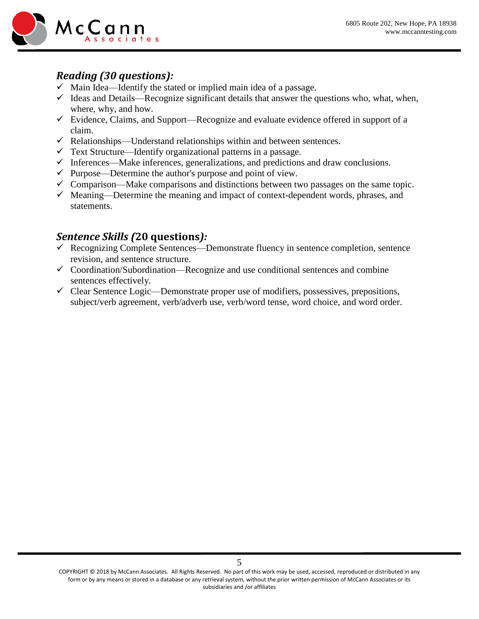

# <span id="page-4-0"></span>*Reading (30 questions):*

- $\checkmark$  Main Idea—Identify the stated or implied main idea of a passage.
- $\checkmark$  Ideas and Details—Recognize significant details that answer the questions who, what, when, where, why, and how.
- $\checkmark$  Evidence, Claims, and Support—Recognize and evaluate evidence offered in support of a claim.
- $\checkmark$  Relationships—Understand relationships within and between sentences.
- $\checkmark$  Text Structure—Identify organizational patterns in a passage.
- $\checkmark$  Inferences—Make inferences, generalizations, and predictions and draw conclusions.
- $\checkmark$  Purpose—Determine the author's purpose and point of view.
- $\checkmark$  Comparison—Make comparisons and distinctions between two passages on the same topic.
- $\checkmark$  Meaning—Determine the meaning and impact of context-dependent words, phrases, and statements.

# <span id="page-4-1"></span>*Sentence Skills (***20 questions***):*

- $\checkmark$  Recognizing Complete Sentences—Demonstrate fluency in sentence completion, sentence revision, and sentence structure.
- $\checkmark$  Coordination/Subordination—Recognize and use conditional sentences and combine sentences effectively.
- $\checkmark$  Clear Sentence Logic—Demonstrate proper use of modifiers, possessives, prepositions, subject/verb agreement, verb/adverb use, verb/word tense, word choice, and word order.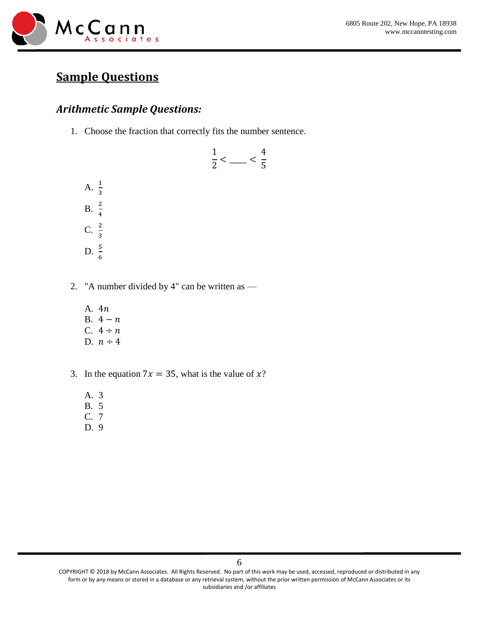

# <span id="page-5-0"></span>**Sample Questions**

#### <span id="page-5-1"></span>*Arithmetic Sample Questions:*

1. Choose the fraction that correctly fits the number sentence.

4 5



- 2. "A number divided by 4" can be written as
	- A. 4 B.  $4 - n$ C.  $4 \div n$ D.  $n \div 4$
- 3. In the equation  $7x = 35$ , what is the value of x?
	- A. 3
	- B. 5
	- C. 7
	- D. 9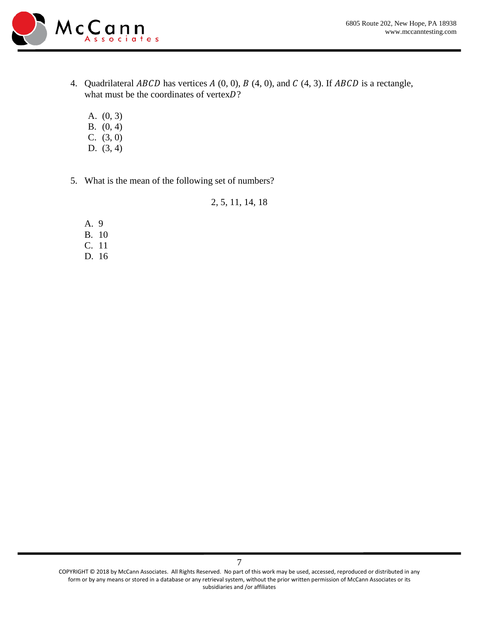

- 4. Quadrilateral *ABCD* has vertices  $A(0, 0)$ ,  $B(4, 0)$ , and  $C(4, 3)$ . If *ABCD* is a rectangle, what must be the coordinates of vertex $D$ ?
	- A. (0, 3) B. (0, 4) C. (3, 0)
	- D. (3, 4)
- 5. What is the mean of the following set of numbers?

#### 2, 5, 11, 14, 18

- A. 9 B. 10 C. 11
- D. 16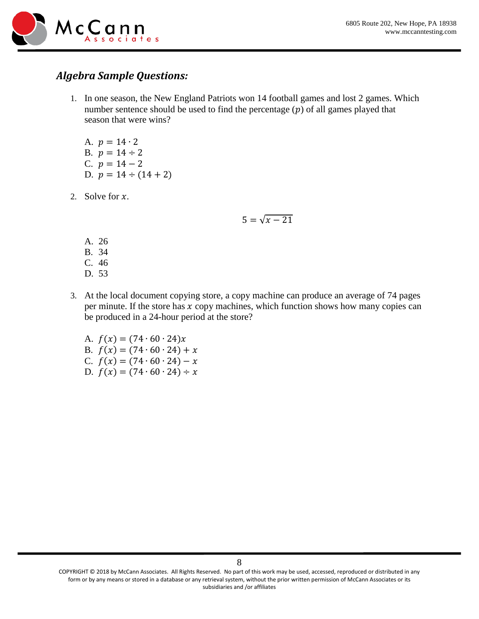

### <span id="page-7-0"></span>*Algebra Sample Questions:*

1. In one season, the New England Patriots won 14 football games and lost 2 games. Which number sentence should be used to find the percentage  $(p)$  of all games played that season that were wins?

A.  $p = 14 \cdot 2$ B.  $p = 14 \div 2$ C.  $p = 14 - 2$ D.  $p = 14 \div (14 + 2)$ 

2. Solve for  $x$ .

 $5 = \sqrt{x - 21}$ 

- A. 26 B. 34 C. 46
- D. 53
- 3. At the local document copying store, a copy machine can produce an average of 74 pages per minute. If the store has  $x$  copy machines, which function shows how many copies can be produced in a 24-hour period at the store?
	- A.  $f(x) = (74 \cdot 60 \cdot 24)x$ B.  $f(x) = (74 \cdot 60 \cdot 24) + x$ C.  $f(x) = (74 \cdot 60 \cdot 24) - x$
	- D.  $f(x) = (74 \cdot 60 \cdot 24) \div x$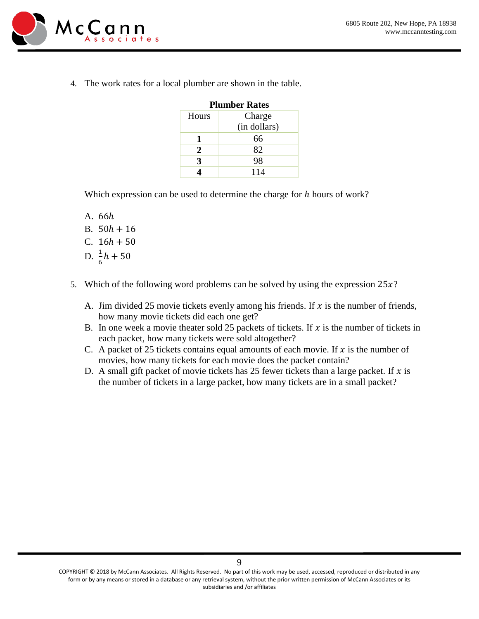

4. The work rates for a local plumber are shown in the table.

| <b>Plumber Rates</b> |              |  |
|----------------------|--------------|--|
| Hours                | Charge       |  |
|                      | (in dollars) |  |
| 1                    | 66           |  |
| 2                    | 82           |  |
| 3                    | 98           |  |
|                      | 114          |  |

Which expression can be used to determine the charge for h hours of work?

- A. 66ℎ
- B.  $50h + 16$
- C.  $16h + 50$
- D.  $\frac{1}{6}h + 50$
- 5. Which of the following word problems can be solved by using the expression  $25x$ ?
	- A. Jim divided 25 movie tickets evenly among his friends. If  $x$  is the number of friends, how many movie tickets did each one get?
	- B. In one week a movie theater sold 25 packets of tickets. If  $x$  is the number of tickets in each packet, how many tickets were sold altogether?
	- C. A packet of 25 tickets contains equal amounts of each movie. If  $x$  is the number of movies, how many tickets for each movie does the packet contain?
	- D. A small gift packet of movie tickets has 25 fewer tickets than a large packet. If  $x$  is the number of tickets in a large packet, how many tickets are in a small packet?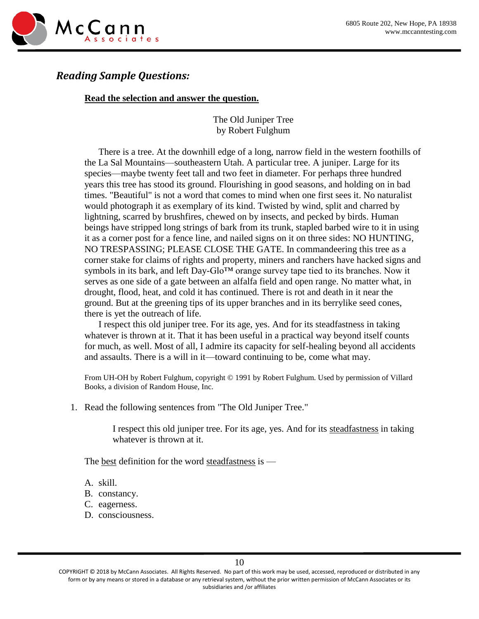

#### <span id="page-9-0"></span>*Reading Sample Questions:*

#### **Read the selection and answer the question.**

The Old Juniper Tree by Robert Fulghum

There is a tree. At the downhill edge of a long, narrow field in the western foothills of the La Sal Mountains—southeastern Utah. A particular tree. A juniper. Large for its species—maybe twenty feet tall and two feet in diameter. For perhaps three hundred years this tree has stood its ground. Flourishing in good seasons, and holding on in bad times. "Beautiful" is not a word that comes to mind when one first sees it. No naturalist would photograph it as exemplary of its kind. Twisted by wind, split and charred by lightning, scarred by brushfires, chewed on by insects, and pecked by birds. Human beings have stripped long strings of bark from its trunk, stapled barbed wire to it in using it as a corner post for a fence line, and nailed signs on it on three sides: NO HUNTING, NO TRESPASSING; PLEASE CLOSE THE GATE. In commandeering this tree as a corner stake for claims of rights and property, miners and ranchers have hacked signs and symbols in its bark, and left Day-Glo™ orange survey tape tied to its branches. Now it serves as one side of a gate between an alfalfa field and open range. No matter what, in drought, flood, heat, and cold it has continued. There is rot and death in it near the ground. But at the greening tips of its upper branches and in its berrylike seed cones, there is yet the outreach of life.

I respect this old juniper tree. For its age, yes. And for its steadfastness in taking whatever is thrown at it. That it has been useful in a practical way beyond itself counts for much, as well. Most of all, I admire its capacity for self-healing beyond all accidents and assaults. There is a will in it—toward continuing to be, come what may.

From UH-OH by Robert Fulghum, copyright © 1991 by Robert Fulghum. Used by permission of Villard Books, a division of Random House, Inc.

1. Read the following sentences from "The Old Juniper Tree."

I respect this old juniper tree. For its age, yes. And for its steadfastness in taking whatever is thrown at it.

The best definition for the word steadfastness is —

- A. skill.
- B. constancy.
- C. eagerness.
- D. consciousness.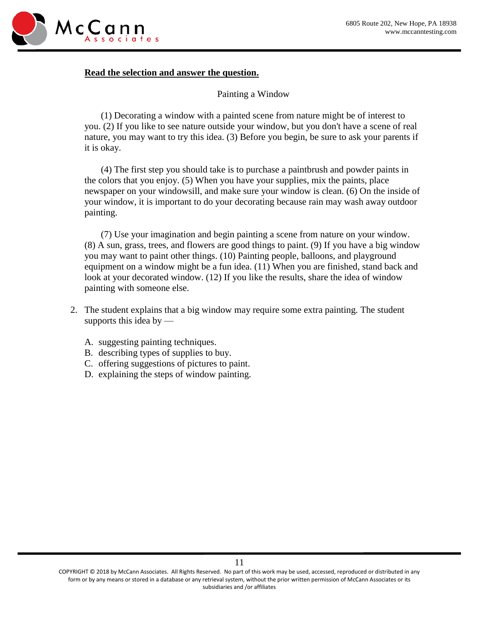

#### **Read the selection and answer the question.**

#### Painting a Window

(1) Decorating a window with a painted scene from nature might be of interest to you. (2) If you like to see nature outside your window, but you don't have a scene of real nature, you may want to try this idea. (3) Before you begin, be sure to ask your parents if it is okay.

(4) The first step you should take is to purchase a paintbrush and powder paints in the colors that you enjoy. (5) When you have your supplies, mix the paints, place newspaper on your windowsill, and make sure your window is clean. (6) On the inside of your window, it is important to do your decorating because rain may wash away outdoor painting.

(7) Use your imagination and begin painting a scene from nature on your window. (8) A sun, grass, trees, and flowers are good things to paint. (9) If you have a big window you may want to paint other things. (10) Painting people, balloons, and playground equipment on a window might be a fun idea. (11) When you are finished, stand back and look at your decorated window. (12) If you like the results, share the idea of window painting with someone else.

- 2. The student explains that a big window may require some extra painting. The student supports this idea by —
	- A. suggesting painting techniques.
	- B. describing types of supplies to buy.
	- C. offering suggestions of pictures to paint.
	- D. explaining the steps of window painting.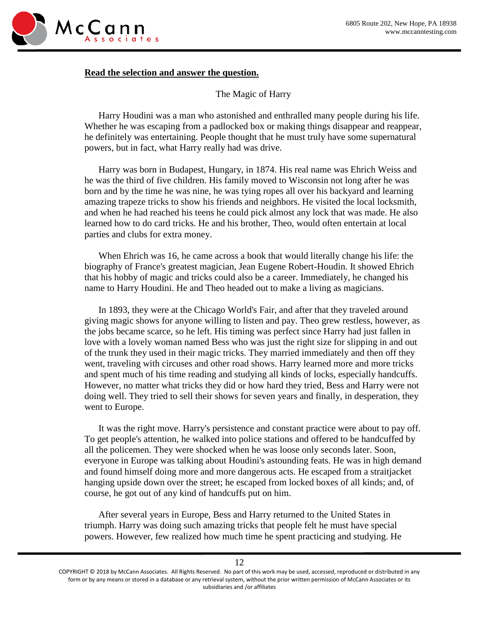

#### **Read the selection and answer the question.**

#### The Magic of Harry

Harry Houdini was a man who astonished and enthralled many people during his life. Whether he was escaping from a padlocked box or making things disappear and reappear, he definitely was entertaining. People thought that he must truly have some supernatural powers, but in fact, what Harry really had was drive.

Harry was born in Budapest, Hungary, in 1874. His real name was Ehrich Weiss and he was the third of five children. His family moved to Wisconsin not long after he was born and by the time he was nine, he was tying ropes all over his backyard and learning amazing trapeze tricks to show his friends and neighbors. He visited the local locksmith, and when he had reached his teens he could pick almost any lock that was made. He also learned how to do card tricks. He and his brother, Theo, would often entertain at local parties and clubs for extra money.

When Ehrich was 16, he came across a book that would literally change his life: the biography of France's greatest magician, Jean Eugene Robert-Houdin. It showed Ehrich that his hobby of magic and tricks could also be a career. Immediately, he changed his name to Harry Houdini. He and Theo headed out to make a living as magicians.

In 1893, they were at the Chicago World's Fair, and after that they traveled around giving magic shows for anyone willing to listen and pay. Theo grew restless, however, as the jobs became scarce, so he left. His timing was perfect since Harry had just fallen in love with a lovely woman named Bess who was just the right size for slipping in and out of the trunk they used in their magic tricks. They married immediately and then off they went, traveling with circuses and other road shows. Harry learned more and more tricks and spent much of his time reading and studying all kinds of locks, especially handcuffs. However, no matter what tricks they did or how hard they tried, Bess and Harry were not doing well. They tried to sell their shows for seven years and finally, in desperation, they went to Europe.

It was the right move. Harry's persistence and constant practice were about to pay off. To get people's attention, he walked into police stations and offered to be handcuffed by all the policemen. They were shocked when he was loose only seconds later. Soon, everyone in Europe was talking about Houdini's astounding feats. He was in high demand and found himself doing more and more dangerous acts. He escaped from a straitjacket hanging upside down over the street; he escaped from locked boxes of all kinds; and, of course, he got out of any kind of handcuffs put on him.

After several years in Europe, Bess and Harry returned to the United States in triumph. Harry was doing such amazing tricks that people felt he must have special powers. However, few realized how much time he spent practicing and studying. He

COPYRIGHT © 2018 by McCann Associates. All Rights Reserved. No part of this work may be used, accessed, reproduced or distributed in any form or by any means or stored in a database or any retrieval system, without the prior written permission of McCann Associates or its subsidiaries and /or affiliates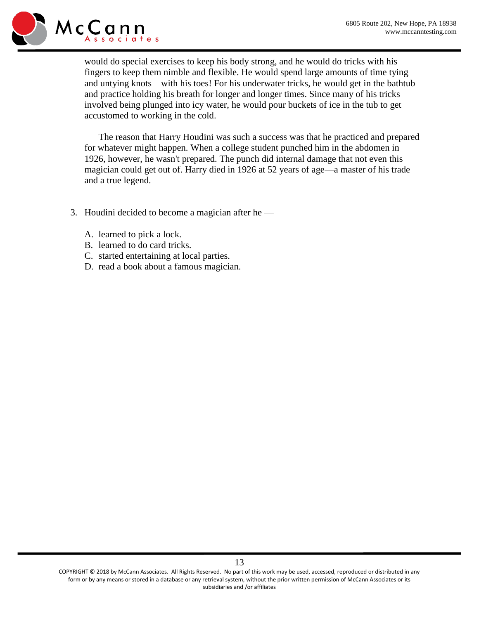

would do special exercises to keep his body strong, and he would do tricks with his fingers to keep them nimble and flexible. He would spend large amounts of time tying and untying knots—with his toes! For his underwater tricks, he would get in the bathtub and practice holding his breath for longer and longer times. Since many of his tricks involved being plunged into icy water, he would pour buckets of ice in the tub to get accustomed to working in the cold.

The reason that Harry Houdini was such a success was that he practiced and prepared for whatever might happen. When a college student punched him in the abdomen in 1926, however, he wasn't prepared. The punch did internal damage that not even this magician could get out of. Harry died in 1926 at 52 years of age—a master of his trade and a true legend.

- 3. Houdini decided to become a magician after he  $-$ 
	- A. learned to pick a lock.
	- B. learned to do card tricks.
	- C. started entertaining at local parties.
	- D. read a book about a famous magician.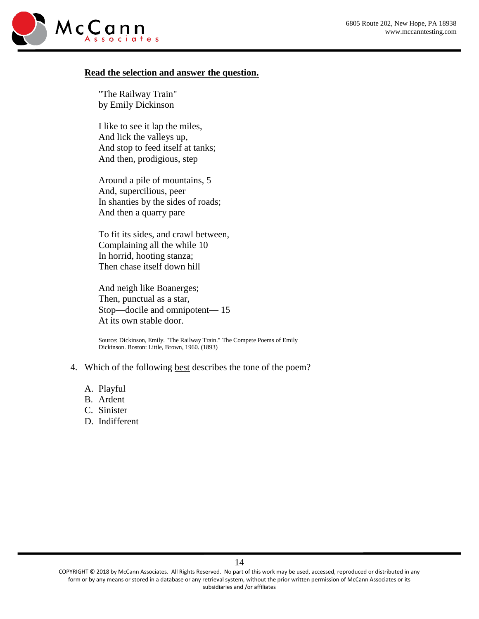

#### **Read the selection and answer the question.**

"The Railway Train" by Emily Dickinson

I like to see it lap the miles, And lick the valleys up, And stop to feed itself at tanks; And then, prodigious, step

Around a pile of mountains, 5 And, supercilious, peer In shanties by the sides of roads; And then a quarry pare

To fit its sides, and crawl between, Complaining all the while 10 In horrid, hooting stanza; Then chase itself down hill

And neigh like Boanerges; Then, punctual as a star, Stop—docile and omnipotent— 15 At its own stable door.

Source: Dickinson, Emily. "The Railway Train." The Compete Poems of Emily Dickinson. Boston: Little, Brown, 1960. (1893)

#### 4. Which of the following best describes the tone of the poem?

- A. Playful
- B. Ardent
- C. Sinister
- D. Indifferent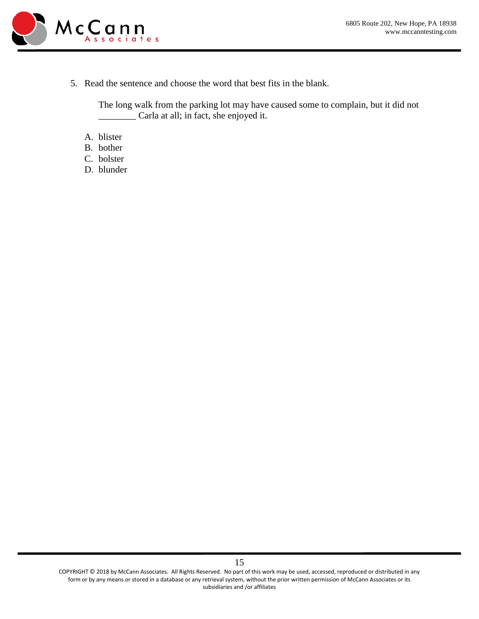

5. Read the sentence and choose the word that best fits in the blank.

The long walk from the parking lot may have caused some to complain, but it did not \_\_\_\_\_\_\_\_ Carla at all; in fact, she enjoyed it.

A. blister

- B. bother
- C. bolster

D. blunder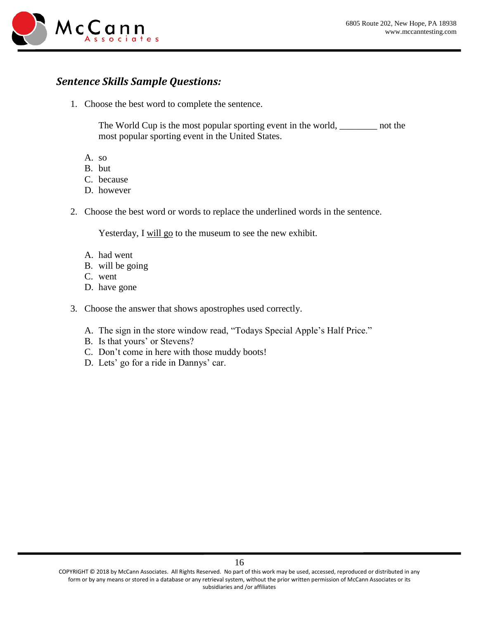

#### <span id="page-15-0"></span>*Sentence Skills Sample Questions:*

1. Choose the best word to complete the sentence.

The World Cup is the most popular sporting event in the world, when  $\frac{1}{2}$  not the most popular sporting event in the United States.

- A. so
- B. but
- C. because
- D. however
- 2. Choose the best word or words to replace the underlined words in the sentence.

Yesterday, I will go to the museum to see the new exhibit.

- A. had went
- B. will be going
- C. went
- D. have gone
- 3. Choose the answer that shows apostrophes used correctly.
	- A. The sign in the store window read, "Todays Special Apple's Half Price."
	- B. Is that yours' or Stevens?
	- C. Don't come in here with those muddy boots!
	- D. Lets' go for a ride in Dannys' car.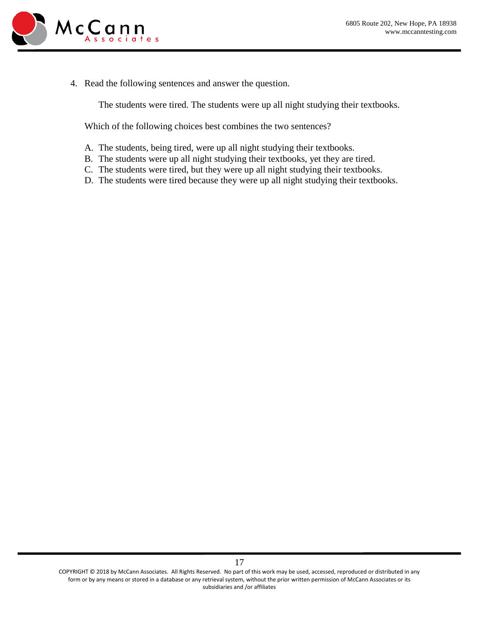

4. Read the following sentences and answer the question.

The students were tired. The students were up all night studying their textbooks.

Which of the following choices best combines the two sentences?

- A. The students, being tired, were up all night studying their textbooks.
- B. The students were up all night studying their textbooks, yet they are tired.
- C. The students were tired, but they were up all night studying their textbooks.
- D. The students were tired because they were up all night studying their textbooks.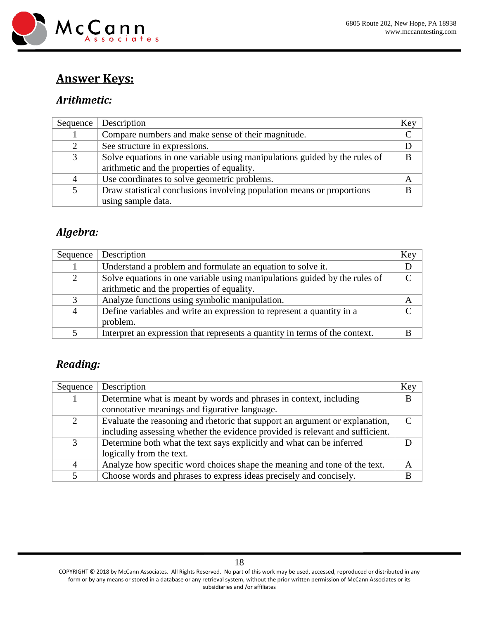

# <span id="page-17-0"></span>**Answer Keys:**

# <span id="page-17-1"></span>*Arithmetic:*

| Sequence | Description                                                                | Key |
|----------|----------------------------------------------------------------------------|-----|
|          | Compare numbers and make sense of their magnitude.                         |     |
|          | See structure in expressions.                                              |     |
| 3        | Solve equations in one variable using manipulations guided by the rules of |     |
|          | arithmetic and the properties of equality.                                 |     |
| 4        | Use coordinates to solve geometric problems.                               |     |
|          | Draw statistical conclusions involving population means or proportions     |     |
|          | using sample data.                                                         |     |

# <span id="page-17-2"></span>*Algebra:*

| Sequence       | Description                                                                 | Key       |
|----------------|-----------------------------------------------------------------------------|-----------|
|                | Understand a problem and formulate an equation to solve it.                 |           |
| $\overline{2}$ | Solve equations in one variable using manipulations guided by the rules of  | $\subset$ |
|                | arithmetic and the properties of equality.                                  |           |
| 3              | Analyze functions using symbolic manipulation.                              |           |
| 4              | Define variables and write an expression to represent a quantity in a       |           |
|                | problem.                                                                    |           |
|                | Interpret an expression that represents a quantity in terms of the context. |           |

# <span id="page-17-3"></span>*Reading:*

| Sequence       | Description                                                                   | Key |
|----------------|-------------------------------------------------------------------------------|-----|
|                | Determine what is meant by words and phrases in context, including            | B   |
|                | connotative meanings and figurative language.                                 |     |
| 2              | Evaluate the reasoning and rhetoric that support an argument or explanation,  |     |
|                | including assessing whether the evidence provided is relevant and sufficient. |     |
| 3              | Determine both what the text says explicitly and what can be inferred         |     |
|                | logically from the text.                                                      |     |
| $\overline{4}$ | Analyze how specific word choices shape the meaning and tone of the text.     |     |
|                | Choose words and phrases to express ideas precisely and concisely.            |     |